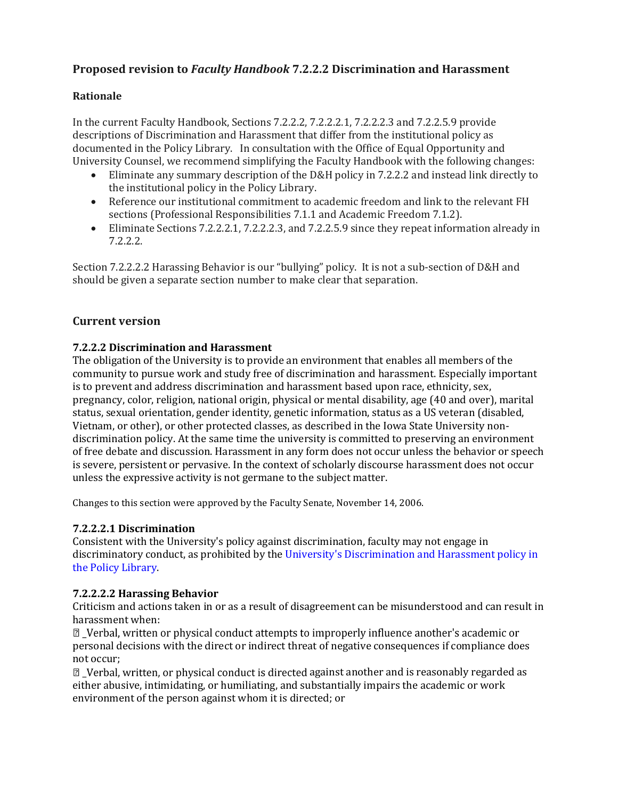# **Proposed revision to** *Faculty Handbook* **7.2.2.2 Discrimination and Harassment**

## **Rationale**

In the current Faculty Handbook, Sections 7.2.2.2, 7.2.2.2.1, 7.2.2.2.3 and 7.2.2.5.9 provide descriptions of Discrimination and Harassment that differ from the institutional policy as documented in the Policy Library. In consultation with the Office of Equal Opportunity and University Counsel, we recommend simplifying the Faculty Handbook with the following changes:

- Eliminate any summary description of the D&H policy in 7.2.2.2 and instead link directly to the institutional policy in the Policy Library.
- Reference our institutional commitment to academic freedom and link to the relevant FH sections (Professional Responsibilities 7.1.1 and Academic Freedom 7.1.2).
- Eliminate Sections 7.2.2.2.1, 7.2.2.2.3, and 7.2.2.5.9 since they repeat information already in 7.2.2.2.

Section 7.2.2.2.2 Harassing Behavior is our "bullying" policy. It is not a sub-section of D&H and should be given a separate section number to make clear that separation.

# **Current version**

## **7.2.2.2 Discrimination and Harassment**

The obligation of the University is to provide an environment that enables all members of the community to pursue work and study free of discrimination and harassment. Especially important is to prevent and address discrimination and harassment based upon race, ethnicity, sex, pregnancy, color, religion, national origin, physical or mental disability, age (40 and over), marital status, sexual orientation, gender identity, genetic information, status as a US veteran (disabled, Vietnam, or other), or other protected classes, as described in the Iowa State University nondiscrimination policy. At the same time the university is committed to preserving an environment of free debate and discussion. Harassment in any form does not occur unless the behavior or speech is severe, persistent or pervasive. In the context of scholarly discourse harassment does not occur unless the expressive activity is not germane to the subject matter.

Changes to this section were approved by the Faculty Senate, November 14, 2006.

## **7.2.2.2.1 Discrimination**

Consistent with the University's policy against discrimination, faculty may not engage in discriminatory conduct, as prohibited by the University's Discrimination and Harassment policy in the Policy Library.

## **7.2.2.2.2 Harassing Behavior**

Criticism and actions taken in or as a result of disagreement can be misunderstood and can result in harassment when:

sqrt2\_Verbal, written or physical conduct attempts to improperly influence another's academic or personal decisions with the direct or indirect threat of negative consequences if compliance does not occur;

 $\mathbb{Z}$  Verbal, written, or physical conduct is directed against another and is reasonably regarded as either abusive, intimidating, or humiliating, and substantially impairs the academic or work environment of the person against whom it is directed; or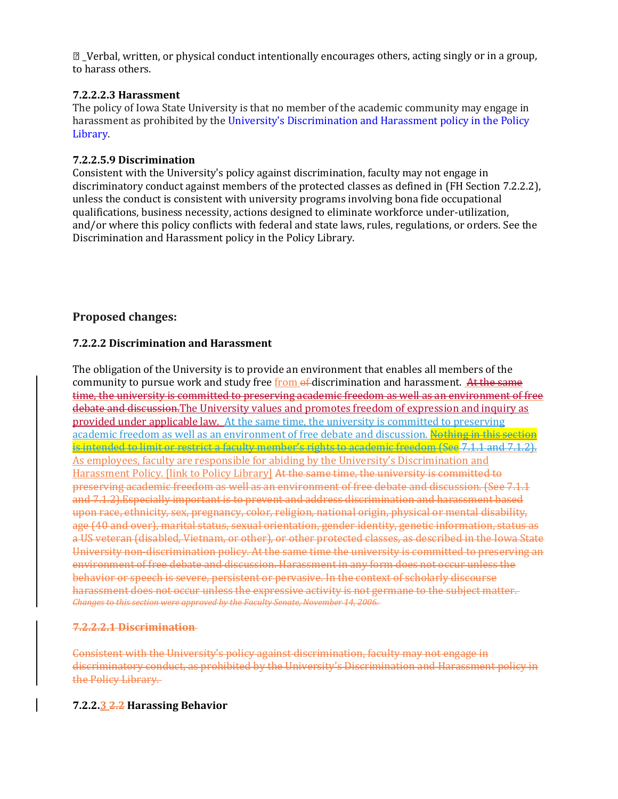$\mathbb D$  Verbal, written, or physical conduct intentionally encourages others, acting singly or in a group, to harass others.

## **7.2.2.2.3 Harassment**

The policy of Iowa State University is that no member of the academic community may engage in harassment as prohibited by the University's Discrimination and Harassment policy in the Policy Library.

## **7.2.2.5.9 Discrimination**

Consistent with the University's policy against discrimination, faculty may not engage in discriminatory conduct against members of the protected classes as defined in (FH Section 7.2.2.2), unless the conduct is consistent with university programs involving bona fide occupational qualifications, business necessity, actions designed to eliminate workforce under-utilization, and/or where this policy conflicts with federal and state laws, rules, regulations, or orders. See the Discrimination and Harassment policy in the Policy Library.

# **Proposed changes:**

## **7.2.2.2 Discrimination and Harassment**

The obligation of the University is to provide an environment that enables all members of the community to pursue work and study free from of discrimination and harassment. At the same time, the university is committed to preserving academic freedom as well as an environment of free debate and discussion.The University values and promotes freedom of expression and inquiry as provided under applicable law. At the same time, the university is committed to preserving academic freedom as well as an environment of free debate and discussion. Nothing in this section is intended to limit or restrict a faculty member's rights to academic freedom (See 7.1.1 and 7.1.2). As employees, faculty are responsible for abiding by the University's Discrimination and Harassment Policy. [link to Policy Library] At the same time, the university is committed to preserving academic freedom as well as an environment of free debate and discussion. (See 7.1.1 and 7.1.2).Especially important is to prevent and address discrimination and harassment based upon race, ethnicity, sex, pregnancy, color, religion, national origin, physical or mental disability, age (40 and over), marital status, sexual orientation, gender identity, genetic information, status as a US veteran (disabled, Vietnam, or other), or other protected classes, as described in the Iowa State University non-discrimination policy. At the same time the university is committed to preserving an environment of free debate and discussion. Harassment in any form does not occur unless the behavior or speech is severe, persistent or pervasive. In the context of scholarly discourse harassment does not occur unless the expressive activity is not germane to the subject matter. *Changes to this section were approved by the Faculty Senate, November 14, 2006.*

## **7.2.2.2.1 Discrimination**

Consistent with the University's policy against discrimination, faculty may not engage in discriminatory conduct, as prohibited by the University's Discrimination and Harassment policy in the Policy Library.

## **7.2.2.3 2.2 Harassing Behavior**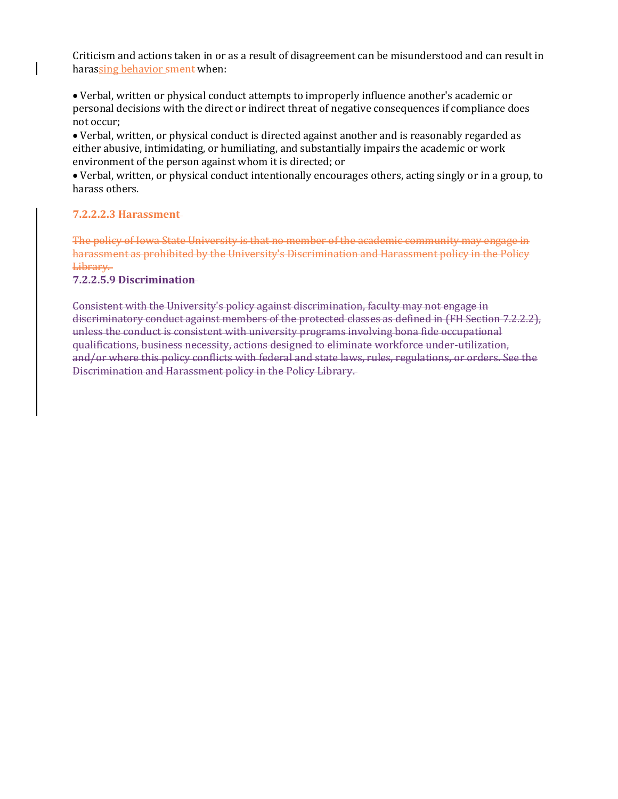Criticism and actions taken in or as a result of disagreement can be misunderstood and can result in harassing behavior sment when:

 Verbal, written or physical conduct attempts to improperly influence another's academic or personal decisions with the direct or indirect threat of negative consequences if compliance does not occur;

 Verbal, written, or physical conduct is directed against another and is reasonably regarded as either abusive, intimidating, or humiliating, and substantially impairs the academic or work environment of the person against whom it is directed; or

 Verbal, written, or physical conduct intentionally encourages others, acting singly or in a group, to harass others.

#### **7.2.2.2.3 Harassment**

The policy of Iowa State University is that no member of the academic community may engage in harassment as prohibited by the University's Discrimination and Harassment policy in the Policy Library.

#### **7.2.2.5.9 Discrimination**

Consistent with the University's policy against discrimination, faculty may not engage in discriminatory conduct against members of the protected classes as defined in (FH Section 7.2.2.2), unless the conduct is consistent with university programs involving bona fide occupational qualifications, business necessity, actions designed to eliminate workforce under-utilization, and/or where this policy conflicts with federal and state laws, rules, regulations, or orders. See the Discrimination and Harassment policy in the Policy Library.